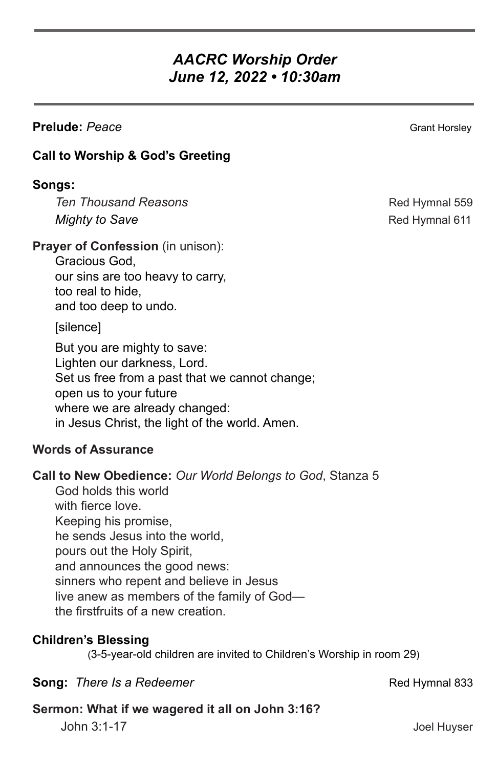# *AACRC Worship Order June 12, 2022 • 10:30am*

### **Prelude:** Peace Grant Horsley Grant Horsley

## **Call to Worship & God's Greeting**

#### **Songs:**

**Ten Thousand Reasons Red Hymnal 559** *Mighty to Save* **Red Hymnal 611** 

#### **Prayer of Confession** (in unison):

Gracious God, our sins are too heavy to carry, too real to hide, and too deep to undo.

[silence]

But you are mighty to save: Lighten our darkness, Lord. Set us free from a past that we cannot change; open us to your future where we are already changed: in Jesus Christ, the light of the world. Amen.

#### **Words of Assurance**

**Call to New Obedience:** *Our World Belongs to God*, Stanza 5

God holds this world with fierce love. Keeping his promise, he sends Jesus into the world, pours out the Holy Spirit, and announces the good news: sinners who repent and believe in Jesus live anew as members of the family of God the firstfruits of a new creation.

# **Children's Blessing**

(3-5-year-old children are invited to Children's Worship in room 29)

#### **Song:** *There Is a Redeemer* **Rediscussion** Red Hymnal 833

#### **Sermon: What if we wagered it all on John 3:16?**

John 3:1-17 Joel Huyser